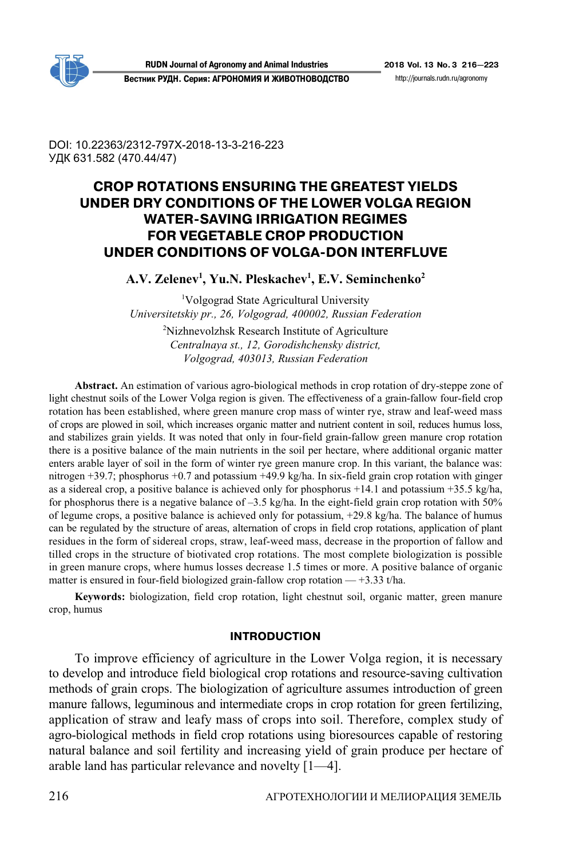

**Вестник РУДН. Серия: АГРОНОМИЯ И ЖИВОТНОВОДСТВО** http://journals.rudn.ru/agronomy

DOI: 10.22363/2312-797X-2018-13-3-216-223 УДК 631.582 (470.44/47)

# **CROP ROTATIONS ENSURING THE GREATEST YIELDS UNDER DRY CONDITIONS OF THE LOWER VOLGA REGION WATER?SAVING IRRIGATION REGIMES FOR VEGETABLE CROP PRODUCTION UNDER CONDITIONS OF VOLGA?DON INTERFLUVE**

**А.V. Zelenev<sup>1</sup>, Yu.N. Pleskachev<sup>1</sup>, E.V. Seminchenko<sup>2</sup>** 

<sup>1</sup>Volgograd State Agricultural University *Universitetskiy pr., 26, Volgograd, 400002, Russian Federation* 

> <sup>2</sup>Nizhnevolzhsk Research Institute of Agriculture *Centralnaya st., 12, Gorodishchensky district, Volgograd, 403013, Russian Federation*

**Abstract.** An estimation of various agro-biological methods in crop rotation of dry-steppe zone of light chestnut soils of the Lower Volga region is given. The effectiveness of a grain-fallow four-field crop rotation has been established, where green manure crop mass of winter rye, straw and leaf-weed mass of crops are plowed in soil, which increases organic matter and nutrient content in soil, reduces humus loss, and stabilizes grain yields. It was noted that only in four-field grain-fallow green manure crop rotation there is a positive balance of the main nutrients in the soil per hectare, where additional organic matter enters arable layer of soil in the form of winter rye green manure crop. In this variant, the balance was: nitrogen +39.7; phosphorus +0.7 and potassium +49.9 kg/ha. In six-field grain crop rotation with ginger as a sidereal crop, a positive balance is achieved only for phosphorus +14.1 and potassium +35.5 kg/ha, for phosphorus there is a negative balance of  $-3.5$  kg/ha. In the eight-field grain crop rotation with 50% of legume crops, a positive balance is achieved only for potassium, +29.8 kg/ha. The balance of humus can be regulated by the structure of areas, alternation of crops in field crop rotations, application of plant residues in the form of sidereal crops, straw, leaf-weed mass, decrease in the proportion of fallow and tilled crops in the structure of biotivated crop rotations. The most complete biologization is possible in green manure crops, where humus losses decrease 1.5 times or more. A positive balance of organic matter is ensured in four-field biologized grain-fallow crop rotation  $-+3.33$  t/ha.

**Keywords:** biologization, field crop rotation, light chestnut soil, organic matter, green manure crop, humus

#### **INTRODUCTION**

To improve efficiency of agriculture in the Lower Volga region, it is necessary to develop and introduce field biological crop rotations and resource-saving cultivation methods of grain crops. The biologization of agriculture assumes introduction of green manure fallows, leguminous and intermediate crops in crop rotation for green fertilizing, application of straw and leafy mass of crops into soil. Therefore, complex study of agro-biological methods in field crop rotations using bioresources capable of restoring natural balance and soil fertility and increasing yield of grain produce per hectare of arable land has particular relevance and novelty [1—4].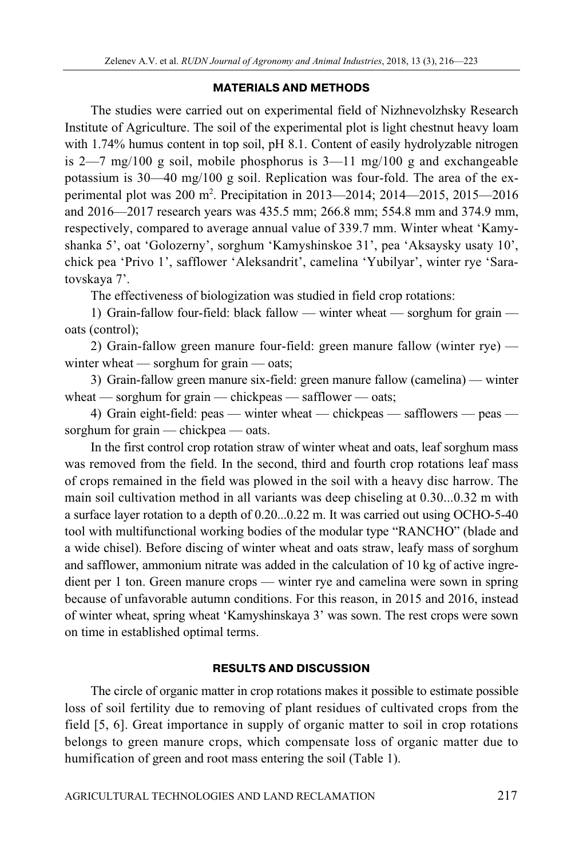#### **MATERIALS AND METHODS**

The studies were carried out on experimental field of Nizhnevolzhsky Research Institute of Agriculture. The soil of the experimental plot is light chestnut heavy loam with 1.74% humus content in top soil, pH 8.1. Content of easily hydrolyzable nitrogen is 2—7 mg/100 g soil, mobile phosphorus is  $3$ —11 mg/100 g and exchangeable potassium is 30—40 mg/100 g soil. Replication was four-fold. The area of the experimental plot was 200 m2 . Precipitation in 2013—2014; 2014—2015, 2015—2016 and 2016—2017 research years was 435.5 mm; 266.8 mm; 554.8 mm and 374.9 mm, respectively, compared to average annual value of 339.7 mm. Winter wheat 'Kamyshanka 5', oat 'Golozerny', sorghum 'Kamyshinskoe 31', pea 'Aksaysky usaty 10', chick pea 'Privo 1', safflower 'Aleksandrit', camelina 'Yubilyar', winter rye 'Saratovskaya 7'.

The effectiveness of biologization was studied in field crop rotations:

1) Grain-fallow four-field: black fallow — winter wheat — sorghum for grain oats (control);

2) Grain-fallow green manure four-field: green manure fallow (winter rye) winter wheat — sorghum for grain — oats;

3) Grain-fallow green manure six-field: green manure fallow (camelina) — winter wheat — sorghum for grain — chickpeas — safflower — oats;

4) Grain eight-field: peas — winter wheat — chickpeas — safflowers — peas sorghum for grain — chickpea — oats.

In the first control crop rotation straw of winter wheat and oats, leaf sorghum mass was removed from the field. In the second, third and fourth crop rotations leaf mass of crops remained in the field was plowed in the soil with a heavy disc harrow. The main soil cultivation method in all variants was deep chiseling at 0.30...0.32 m with a surface layer rotation to a depth of 0.20...0.22 m. It was carried out using OCHO-5-40 tool with multifunctional working bodies of the modular type "RANCHO" (blade and a wide chisel). Before discing of winter wheat and oats straw, leafy mass of sorghum and safflower, ammonium nitrate was added in the calculation of 10 kg of active ingredient per 1 ton. Green manure crops — winter rye and camelina were sown in spring because of unfavorable autumn conditions. For this reason, in 2015 and 2016, instead of winter wheat, spring wheat 'Kamyshinskaya 3' was sown. The rest crops were sown on time in established optimal terms.

## **RESULTS AND DISCUSSION**

The circle of organic matter in crop rotations makes it possible to estimate possible loss of soil fertility due to removing of plant residues of cultivated crops from the field [5, 6]. Great importance in supply of organic matter to soil in crop rotations belongs to green manure crops, which compensate loss of organic matter due to humification of green and root mass entering the soil (Table 1).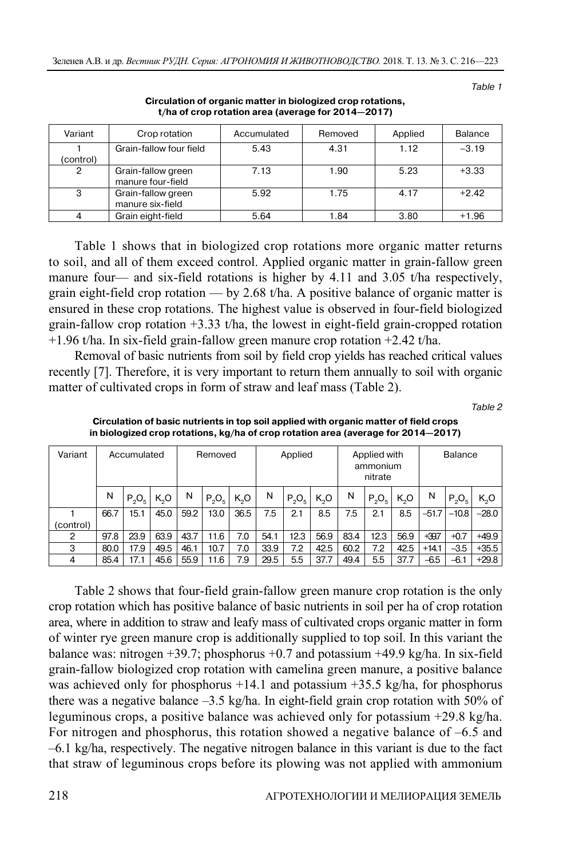Table 1

| Variant   | Crop rotation                           | Accumulated | Removed | Applied | <b>Balance</b> |
|-----------|-----------------------------------------|-------------|---------|---------|----------------|
| (control) | Grain-fallow four field                 | 5.43        | 4.31    | 1.12    | $-3.19$        |
| 2         | Grain-fallow green<br>manure four-field | 7.13        | 1.90    | 5.23    | $+3.33$        |
| 3         | Grain-fallow green<br>manure six-field  | 5.92        | 1.75    | 4.17    | $+2.42$        |
|           | Grain eight-field                       | 5.64        | 1.84    | 3.80    | $+1.96$        |

**Circulation of organic matter in biologized crop rotations, t/ha of crop rotation area (average for 2014—2017)** 

Table 1 shows that in biologized crop rotations more organic matter returns to soil, and all of them exceed control. Applied organic matter in grain-fallow green manure four— and six-field rotations is higher by 4.11 and 3.05 t/ha respectively, grain eight-field crop rotation — by 2.68 t/ha. A positive balance of organic matter is ensured in these crop rotations. The highest value is observed in four-field biologized grain-fallow crop rotation  $+3.33$  t/ha, the lowest in eight-field grain-cropped rotation  $+1.96$  t/ha. In six-field grain-fallow green manure crop rotation  $+2.42$  t/ha.

Removal of basic nutrients from soil by field crop yields has reached critical values recently [7]. Therefore, it is very important to return them annually to soil with organic matter of cultivated crops in form of straw and leaf mass (Table 2).

Table 2

**Circulation of basic nutrients in top soil applied with organic matter of field crops in biologized crop rotations, kg/ha of crop rotation area (average for 2014—2017)** 

| Variant   | Accumulated |          | Removed |      | Applied  |        | Applied with<br>ammonium<br>nitrate |          |        | <b>Balance</b> |          |        |         |          |         |
|-----------|-------------|----------|---------|------|----------|--------|-------------------------------------|----------|--------|----------------|----------|--------|---------|----------|---------|
|           | N           | $P_2O_5$ | K,O     | N    | $P_2O_5$ | $K_2O$ | N                                   | $P_2O_5$ | $K_2O$ | N              | $P_2O_5$ | $K_2O$ | N       | $P_2O_5$ | $K_2O$  |
|           | 66.7        | 15.1     | 45.0    | 59.2 | 13.0     | 36.5   | 7.5                                 | 2.1      | 8.5    | 7.5            | 2.1      | 8.5    | $-51.7$ | $-10.8$  | $-28.0$ |
| (control) |             |          |         |      |          |        |                                     |          |        |                |          |        |         |          |         |
| 2         | 97.8        | 23.9     | 63.9    | 43.7 | 11.6     | 7.0    | 54.1                                | 12.3     | 56.9   | 83.4           | 12.3     | 56.9   | $+39.7$ | $+0.7$   | $+49.9$ |
| 3         | 80.0        | 17.9     | 49.5    | 46.1 | 10.7     | 7.0    | 33.9                                | 7.2      | 42.5   | 60.2           | 7.2      | 42.5   | $+14.1$ | $-3.5$   | $+35.5$ |
| 4         | 85.4        | 17.1     | 45.6    | 55.9 | 11.6     | 7.9    | 29.5                                | 5.5      | 37.7   | 49.4           | 5.5      | 37.7   | $-6.5$  | $-6.1$   | $+29.8$ |

Table 2 shows that four-field grain-fallow green manure crop rotation is the only crop rotation which has positive balance of basic nutrients in soil per ha of crop rotation area, where in addition to straw and leafy mass of cultivated crops organic matter in form of winter rye green manure crop is additionally supplied to top soil. In this variant the balance was: nitrogen +39.7; phosphorus +0.7 and potassium +49.9 kg/ha. In six-field grain-fallow biologized crop rotation with camelina green manure, a positive balance was achieved only for phosphorus  $+14.1$  and potassium  $+35.5$  kg/ha, for phosphorus there was a negative balance  $-3.5$  kg/ha. In eight-field grain crop rotation with 50% of leguminous crops, a positive balance was achieved only for potassium +29.8 kg/ha. For nitrogen and phosphorus, this rotation showed a negative balance of –6.5 and –6.1 kg/ha, respectively. The negative nitrogen balance in this variant is due to the fact that straw of leguminous crops before its plowing was not applied with ammonium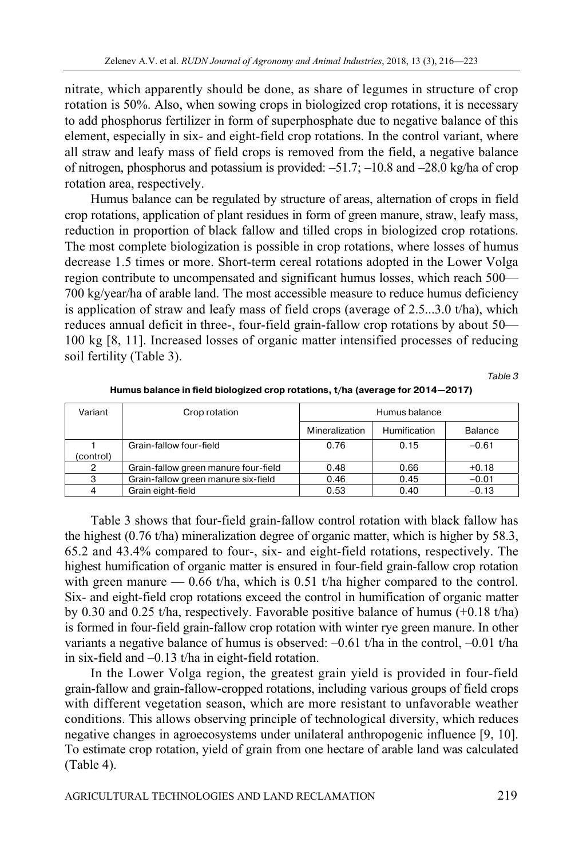nitrate, which apparently should be done, as share of legumes in structure of crop rotation is 50%. Also, when sowing crops in biologized crop rotations, it is necessary to add phosphorus fertilizer in form of superphosphate due to negative balance of this element, especially in six- and eight-field crop rotations. In the control variant, where all straw and leafy mass of field crops is removed from the field, a negative balance of nitrogen, phosphorus and potassium is provided: –51.7; –10.8 and –28.0 kg/ha of crop rotation area, respectively.

Humus balance can be regulated by structure of areas, alternation of crops in field crop rotations, application of plant residues in form of green manure, straw, leafy mass, reduction in proportion of black fallow and tilled crops in biologized crop rotations. The most complete biologization is possible in crop rotations, where losses of humus decrease 1.5 times or more. Short-term cereal rotations adopted in the Lower Volga region contribute to uncompensated and significant humus losses, which reach 500— 700 kg/year/ha of arable land. The most accessible measure to reduce humus deficiency is application of straw and leafy mass of field crops (average of 2.5...3.0 t/ha), which reduces annual deficit in three-, four-field grain-fallow crop rotations by about 50— 100 kg [8, 11]. Increased losses of organic matter intensified processes of reducing soil fertility (Table 3).

Table 3

| Variant   | Crop rotation                        | Humus balance  |              |                |  |  |
|-----------|--------------------------------------|----------------|--------------|----------------|--|--|
|           |                                      | Mineralization | Humification | <b>Balance</b> |  |  |
|           | Grain-fallow four-field              | 0.76           | 0.15         | $-0.61$        |  |  |
| (control) |                                      |                |              |                |  |  |
| 2         | Grain-fallow green manure four-field | 0.48           | 0.66         | $+0.18$        |  |  |
| 3         | Grain-fallow green manure six-field  | 0.46           | 0.45         | $-0.01$        |  |  |
| 4         | Grain eight-field                    | 0.53           | 0.40         | $-0.13$        |  |  |

**Humus balance in field biologized crop rotations, t/ha (average for 2014—2017)** 

Table 3 shows that four-field grain-fallow control rotation with black fallow has the highest (0.76 t/ha) mineralization degree of organic matter, which is higher by 58.3, 65.2 and 43.4% compared to four-, six- and eight-field rotations, respectively. The highest humification of organic matter is ensured in four-field grain-fallow crop rotation with green manure — 0.66 t/ha, which is 0.51 t/ha higher compared to the control. Six- and eight-field crop rotations exceed the control in humification of organic matter by 0.30 and 0.25 t/ha, respectively. Favorable positive balance of humus (+0.18 t/ha) is formed in four-field grain-fallow crop rotation with winter rye green manure. In other variants a negative balance of humus is observed: –0.61 t/ha in the control, –0.01 t/ha in six-field and –0.13 t/ha in eight-field rotation.

In the Lower Volga region, the greatest grain yield is provided in four-field grain-fallow and grain-fallow-cropped rotations, including various groups of field crops with different vegetation season, which are more resistant to unfavorable weather conditions. This allows observing principle of technological diversity, which reduces negative changes in agroecosystems under unilateral anthropogenic influence [9, 10]. To estimate crop rotation, yield of grain from one hectare of arable land was calculated (Table 4).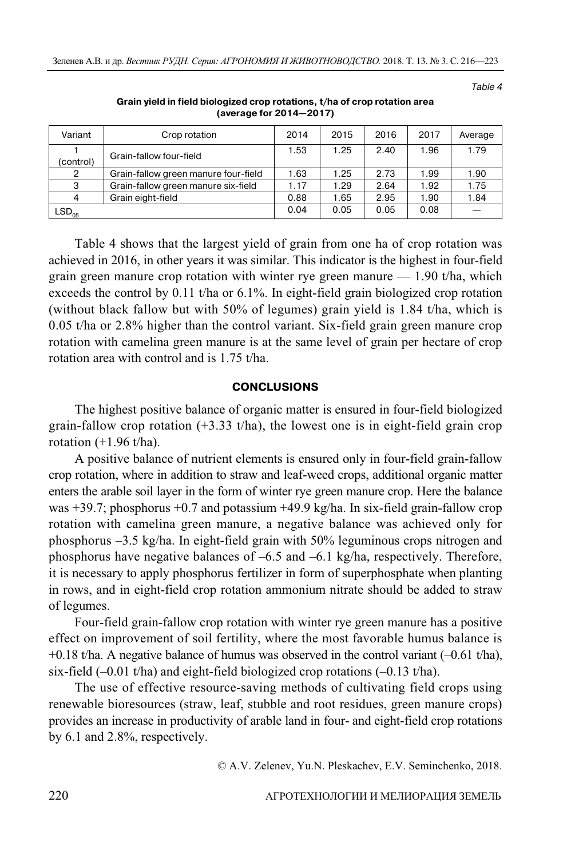Table 4

| Variant        | Crop rotation                        | 2014 | 2015 | 2016 | 2017 | Average |
|----------------|--------------------------------------|------|------|------|------|---------|
| (control)      | Grain-fallow four-field              | 1.53 | 1.25 | 2.40 | 1.96 | 1.79    |
| $\overline{2}$ | Grain-fallow green manure four-field | 1.63 | 1.25 | 2.73 | 1.99 | 1.90    |
| 3              | Grain-fallow green manure six-field  | 1.17 | 1.29 | 2.64 | 1.92 | 1.75    |
| 4              | Grain eight-field                    | 0.88 | 1.65 | 2.95 | 1.90 | 1.84    |
| $LSD_{05}$     |                                      | 0.04 | 0.05 | 0.05 | 0.08 |         |

**Grain yield in field biologized crop rotations, t/ha of crop rotation area (average for 2014—2017)** 

Table 4 shows that the largest yield of grain from one ha of crop rotation was achieved in 2016, in other years it was similar. This indicator is the highest in four-field grain green manure crop rotation with winter rye green manure  $-1.90$  t/ha, which exceeds the control by 0.11 t/ha or 6.1%. In eight-field grain biologized crop rotation (without black fallow but with 50% of legumes) grain yield is 1.84 t/ha, which is 0.05 t/ha or 2.8% higher than the control variant. Six-field grain green manure crop rotation with camelina green manure is at the same level of grain per hectare of crop rotation area with control and is 1.75 t/ha.

#### **CONCLUSIONS**

The highest positive balance of organic matter is ensured in four-field biologized grain-fallow crop rotation  $(+3.33 \text{ t/ha})$ , the lowest one is in eight-field grain crop rotation  $(+1.96 t/ha)$ .

A positive balance of nutrient elements is ensured only in four-field grain-fallow crop rotation, where in addition to straw and leaf-weed crops, additional organic matter enters the arable soil layer in the form of winter rye green manure crop. Here the balance was +39.7; phosphorus +0.7 and potassium +49.9 kg/ha. In six-field grain-fallow crop rotation with camelina green manure, a negative balance was achieved only for phosphorus –3.5 kg/ha. In eight-field grain with 50% leguminous crops nitrogen and phosphorus have negative balances of –6.5 and –6.1 kg/ha, respectively. Therefore, it is necessary to apply phosphorus fertilizer in form of superphosphate when planting in rows, and in eight-field crop rotation ammonium nitrate should be added to straw of legumes.

Four-field grain-fallow crop rotation with winter rye green manure has a positive effect on improvement of soil fertility, where the most favorable humus balance is  $+0.18$  t/ha. A negative balance of humus was observed in the control variant  $(-0.61 \text{ t/ha})$ , six-field  $(-0.01 \text{ t/ha})$  and eight-field biologized crop rotations  $(-0.13 \text{ t/ha})$ .

The use of effective resource-saving methods of cultivating field crops using renewable bioresources (straw, leaf, stubble and root residues, green manure crops) provides an increase in productivity of arable land in four- and eight-field crop rotations by 6.1 and 2.8%, respectively.

© А.V. Zelenev, Yu.N. Pleskachev, Е.V. Seminchenko, 2018.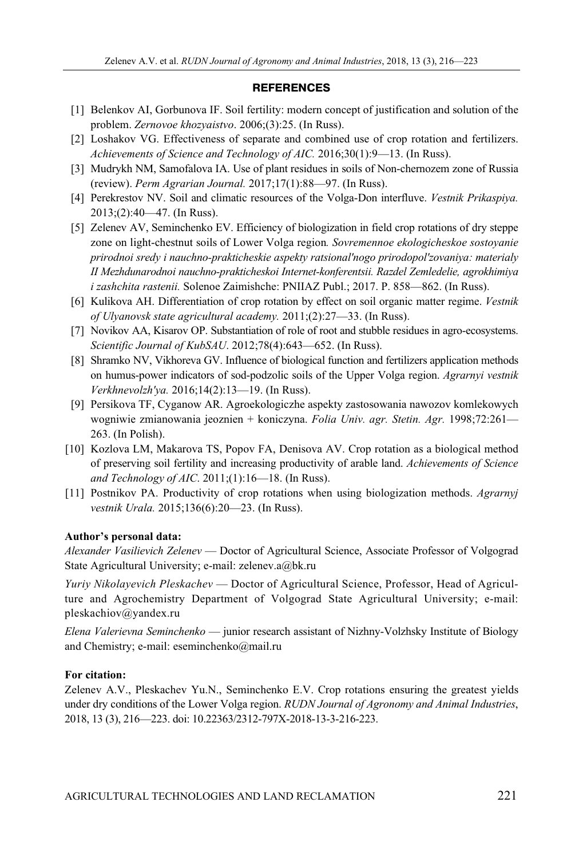#### **REFERENCES**

- [1] Belenkov AI, Gorbunova IF. Soil fertility: modern concept of justification and solution of the problem. *Zernovoe khozyaistvo*. 2006;(3):25. (In Russ).
- [2] Loshakov VG. Effectiveness of separate and combined use of crop rotation and fertilizers. *Achievements of Science and Technology of AIC.* 2016;30(1):9—13. (In Russ).
- [3] Mudrykh NM, Samofalova IA. Use of plant residues in soils of Non-chernozem zone of Russia (review). *Perm Agrarian Journal.* 2017;17(1):88—97. (In Russ).
- [4] Perekrestov NV. Soil and climatic resources of the Volga-Don interfluve. *Vestnik Prikaspiya.* 2013;(2):40—47. (In Russ).
- [5] Zelenev AV, Seminchenko EV. Efficiency of biologization in field crop rotations of dry steppe zone on light-chestnut soils of Lower Volga region*. Sovremennoe ekologicheskoe sostoyanie prirodnoi sredy i nauchno-prakticheskie aspekty ratsional'nogo prirodopol'zovaniya: materialy II Mezhdunarodnoi nauchno-prakticheskoi Internet-konferentsii. Razdel Zemledelie, agrokhimiya i zashchita rastenii.* Solenoe Zaimishche: PNIIAZ Publ.; 2017. P. 858—862. (In Russ).
- [6] Kulikova AH. Differentiation of crop rotation by effect on soil organic matter regime. *Vestnik of Ulyanovsk state agricultural academy.* 2011;(2):27—33. (In Russ).
- [7] Novikov AA, Kisarov OP. Substantiation of role of root and stubble residues in agro-ecosystems. *Scientific Journal of KubSAU*. 2012;78(4):643—652. (In Russ).
- [8] Shramko NV, Vikhoreva GV. Influence of biological function and fertilizers application methods on humus-power indicators of sod-podzolic soils of the Upper Volga region. *Agrarnyi vestnik Verkhnevolzh'ya.* 2016;14(2):13—19. (In Russ).
- [9] Persikova TF, Cуganow AR. Agroekologiczhe aspektу zastosowania nawozov komlekowуch wogniwie zmianowania jeoznien + koniczyna. *Folia Univ. agr. Stetin. Agr.* 1998;72:261— 263. (In Polish).
- [10] Kozlova LM, Makarova TS, Popov FA, Denisova AV. Crop rotation as a biological method of preserving soil fertility and increasing productivity of arable land. *Achievements of Science and Technology of AIC*. 2011;(1):16—18. (In Russ).
- [11] Postnikov PA. Productivity of crop rotations when using biologization methods. *Agrarnyj vestnik Urala.* 2015;136(6):20—23. (In Russ).

## **Author's personal data:**

*Alexander Vasilievich Zelenev* — Doctor of Agricultural Science, Associate Professor of Volgograd State Agricultural University; e-mail: zelenev.a@bk.ru

*Yuriy Nikolayevich Pleskachev* — Doctor of Agricultural Science, Professor, Head of Agriculture and Agrochemistry Department of Volgograd State Agricultural University; e-mail: pleskachiov@yandex.ru

*Elena Valerievna Seminchenko* — junior research assistant of Nizhny-Volzhsky Institute of Biology and Chemistry; e-mail: eseminchenko@mail.ru

#### **For citation:**

Zelenev А.V., Pleskachev Yu.N., Seminchenko Е.V. Crop rotations ensuring the greatest yields under dry conditions of the Lower Volga region. *RUDN Journal of Agronomy and Animal Industries*, 2018, 13 (3), 216—223. doi: 10.22363/2312-797X-2018-13-3-216-223.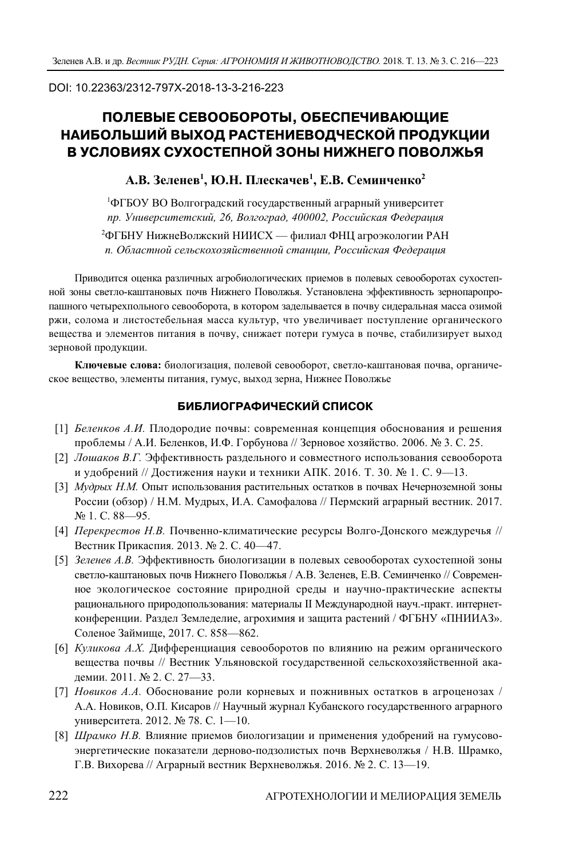#### DOI: 10.22363/2312-797X-2018-13-3-216-223

# **ПОЛЕВЫЕ СЕВООБОРОТЫ, ОБЕСПЕЧИВАЮЩИЕ НАИБОЛЬШИЙ ВЫХОД РАСТЕНИЕВОДЧЕСКОЙ ПРОДУКЦИИ В УСЛОВИЯХ СУХОСТЕПНОЙ ЗОНЫ НИЖНЕГО ПОВОЛЖЬЯ**

## **А.В. Зеленев1 , Ю.Н. Плескачев1 , Е.В. Семинченко2**

1 ФГБОУ ВО Волгоградский государственный аграрный университет *пр. Университетский, 26, Волгоград, 400002, Российская Федерация*   $^2$ ФГБНУ НижнеВолжский НИИСХ — филиал ФНЦ агроэкологии РАН *п. Областной сельскохозяйственной станции, Российская Федерация* 

Приводится оценка различных агробиологических приемов в полевых севооборотах сухостепной зоны светло-каштановых почв Нижнего Поволжья. Установлена эффективность зернопаропропашного четырехпольного севооборота, в котором заделывается в почву сидеральная масса озимой ржи, солома и листостебельная масса культур, что увеличивает поступление органического вещества и элементов питания в почву, снижает потери гумуса в почве, стабилизирует выход зерновой продукции.

**Ключевые слова:** биологизация, полевой севооборот, светло-каштановая почва, органическое вещество, элементы питания, гумус, выход зерна, Нижнее Поволжье

#### **БИБЛИОГРАФИЧЕСКИЙ СПИСОК**

- [1] *Беленков А.И.* Плодородие почвы: современная концепция обоснования и решения проблемы / А.И. Беленков, И.Ф. Горбунова // Зерновое хозяйство. 2006. № 3. С. 25.
- [2] *Лошаков В.Г.* Эффективность раздельного и совместного использования севооборота и удобрений // Достижения науки и техники АПК. 2016. Т. 30. № 1. С. 9—13.
- [3] *Мудрых Н.М.* Опыт использования растительных остатков в почвах Нечерноземной зоны России (обзор) / Н.М. Мудрых, И.А. Самофалова // Пермский аграрный вестник. 2017. № 1. С. 88—95.
- [4] *Перекрестов Н.В.* Почвенно-климатические ресурсы Волго-Донского междуречья // Вестник Прикаспия. 2013. № 2. С. 40—47.
- [5] *Зеленев А.В.* Эффективность биологизации в полевых севооборотах сухостепной зоны светло-каштановых почв Нижнего Поволжья / А.В. Зеленев, Е.В. Семинченко // Современное экологическое состояние природной среды и научно-практические аспекты рационального природопользования: материалы II Международной науч.-практ. интернетконференции. Раздел Земледелие, агрохимия и защита растений / ФГБНУ «ПНИИАЗ». Соленое Займище, 2017. С. 858—862.
- [6] *Куликова А.Х.* Дифференциация севооборотов по влиянию на режим органического вещества почвы // Вестник Ульяновской государственной сельскохозяйственной академии. 2011. № 2. С. 27—33.
- [7] *Новиков А.А.* Обоснование роли корневых и пожнивных остатков в агроценозах / А.А. Новиков, О.П. Кисаров // Научный журнал Кубанского государственного аграрного университета. 2012. № 78. С. 1—10.
- [8] *Шрамко Н.В.* Влияние приемов биологизации и применения удобрений на гумусовоэнергетические показатели дерново-подзолистых почв Верхневолжья / Н.В. Шрамко, Г.В. Вихорева // Аграрный вестник Верхневолжья. 2016. № 2. С. 13—19.